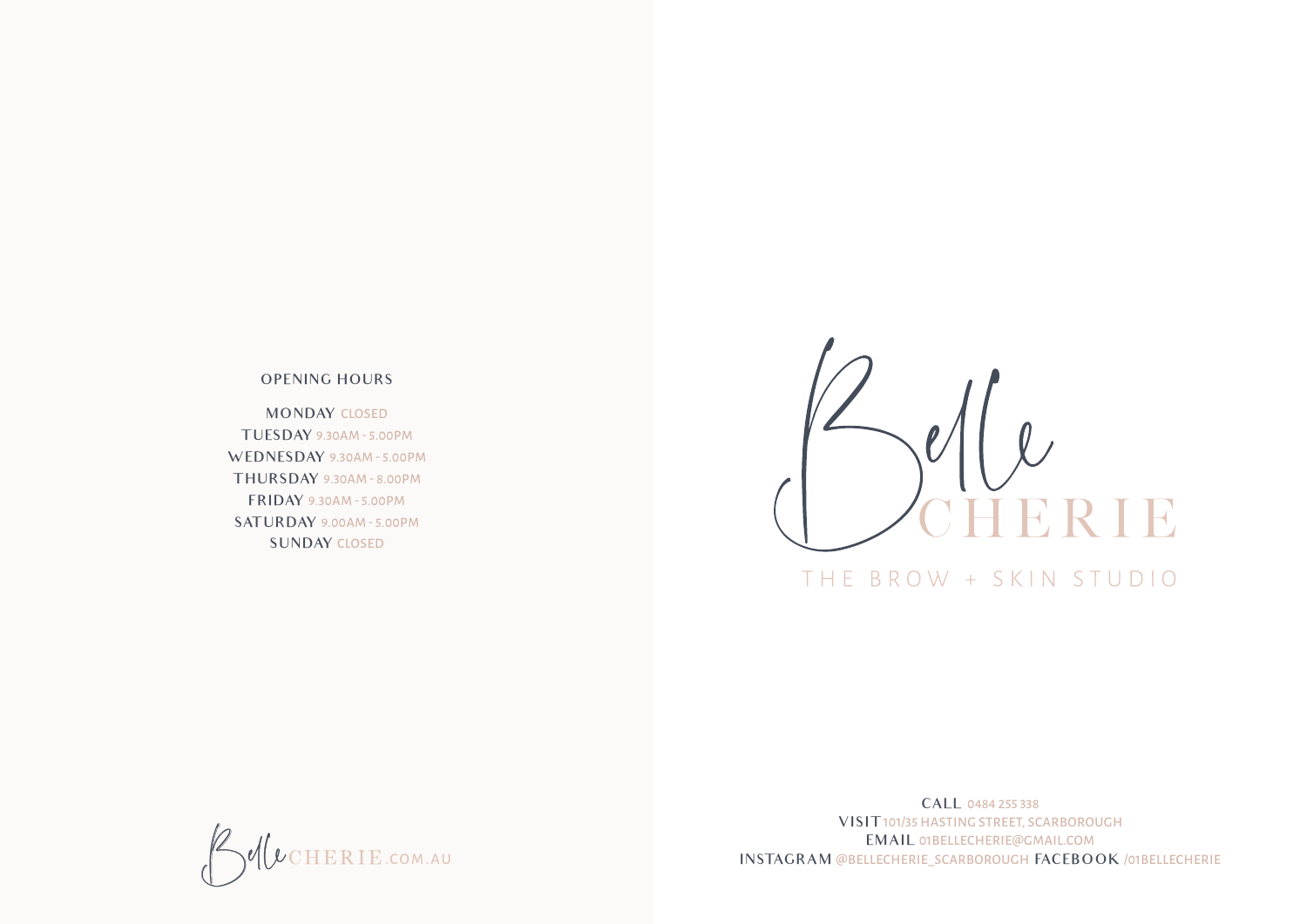## OPENING HOURS

MONDAY CLOSED T UESDAY 9.30AM - 5.00PM WEDNESDAY 9.30AM - 5.00PM T HURSDAY 9.30AM - 8.00PM F RIDAY 9.30AM - 5.00PM SAT URDAY 9.00AM - 5.00PM SUNDAY CLOSED



# THE BROW + SKIN STUDIO



CALL 0484 255 338 VISIT 101/35 HASTING STREET, SCARBOROUGH EMAIL 01BELLECHERIE@GMAIL.COM<br>INSTAGRAM @BELLECHERIE\_SCARBOROUGH FACEBOOK /01BELLECHERIE